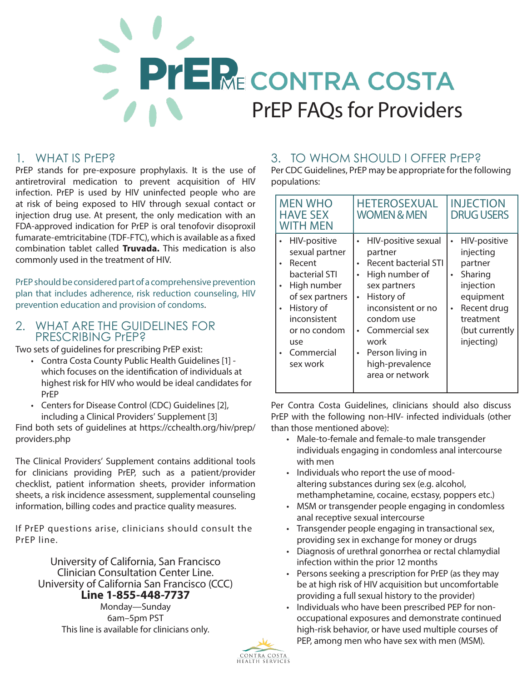

## 1. WHAT IS PrEP?

PrEP stands for pre-exposure prophylaxis. It is the use of antiretroviral medication to prevent acquisition of HIV infection. PrEP is used by HIV uninfected people who are at risk of being exposed to HIV through sexual contact or injection drug use. At present, the only medication with an FDA-approved indication for PrEP is oral tenofovir disoproxil fumarate-emtricitabine (TDF-FTC), which is available as a fixed combination tablet called **Truvada.** This medication is also commonly used in the treatment of HIV.

PrEP should be considered part of a comprehensive prevention plan that includes adherence, risk reduction counseling, HIV prevention education and provision of condoms.

#### 2. WHAT ARE THE GUIDELINES FOR PRESCRIBING PrEP?

Two sets of guidelines for prescribing PrEP exist:

- Contra Costa County Public Health Guidelines [1] which focuses on the identification of individuals at highest risk for HIV who would be ideal candidates for PrEP
- Centers for Disease Control (CDC) Guidelines [2], including a Clinical Providers' Supplement [3]

Find both sets of guidelines at https://cchealth.org/hiv/prep/ providers.php

The Clinical Providers' Supplement contains additional tools for clinicians providing PrEP, such as a patient/provider checklist, patient information sheets, provider information sheets, a risk incidence assessment, supplemental counseling information, billing codes and practice quality measures.

If PrEP questions arise, clinicians should consult the PrEP line.

University of California, San Francisco Clinician Consultation Center Line. University of California San Francisco (CCC) **Line 1-855-448-7737**

> Monday—Sunday 6am–5pm PST This line is available for clinicians only.

## 3. TO WHOM SHOULD I OFFER PrEP?

Per CDC Guidelines, PrEP may be appropriate for the following populations:

| <b>MEN WHO</b><br><b>HAVE SEX</b><br><b>WITH MEN</b>                                                                                                                                                                           | <b>HETEROSEXUAL</b><br><b>WOMEN &amp; MEN</b>                                                                                                                                                                                                                                             | <b>INJECTION</b><br><b>DRUG USERS</b>                                                                                                                                        |
|--------------------------------------------------------------------------------------------------------------------------------------------------------------------------------------------------------------------------------|-------------------------------------------------------------------------------------------------------------------------------------------------------------------------------------------------------------------------------------------------------------------------------------------|------------------------------------------------------------------------------------------------------------------------------------------------------------------------------|
| HIV-positive<br>sexual partner<br>Recent<br>$\bullet$<br>bacterial STI<br>High number<br>$\bullet$<br>of sex partners<br>History of<br>$\bullet$<br>inconsistent<br>or no condom<br>use<br>Commercial<br>$\bullet$<br>sex work | HIV-positive sexual<br>partner<br><b>Recent bacterial STI</b><br>$\bullet$<br>High number of<br>$\bullet$<br>sex partners<br>History of<br>$\bullet$<br>inconsistent or no<br>condom use<br>Commercial sex<br>work<br>Person living in<br>$\bullet$<br>high-prevalence<br>area or network | HIV-positive<br>$\bullet$<br>injecting<br>partner<br>Sharing<br>$\bullet$<br>injection<br>equipment<br>Recent drug<br>$\bullet$<br>treatment<br>(but currently<br>injecting) |

Per Contra Costa Guidelines, clinicians should also discuss PrEP with the following non-HIV- infected individuals (other than those mentioned above):

- Male-to-female and female-to male transgender individuals engaging in condomless anal intercourse with men
- Individuals who report the use of moodaltering substances during sex (e.g. alcohol, methamphetamine, cocaine, ecstasy, poppers etc.)
- MSM or transgender people engaging in condomless anal receptive sexual intercourse
- Transgender people engaging in transactional sex, providing sex in exchange for money or drugs
- Diagnosis of urethral gonorrhea or rectal chlamydial infection within the prior 12 months
- Persons seeking a prescription for PrEP (as they may be at high risk of HIV acquisition but uncomfortable providing a full sexual history to the provider)
- Individuals who have been prescribed PEP for nonoccupational exposures and demonstrate continued high-risk behavior, or have used multiple courses of PEP, among men who have sex with men (MSM).

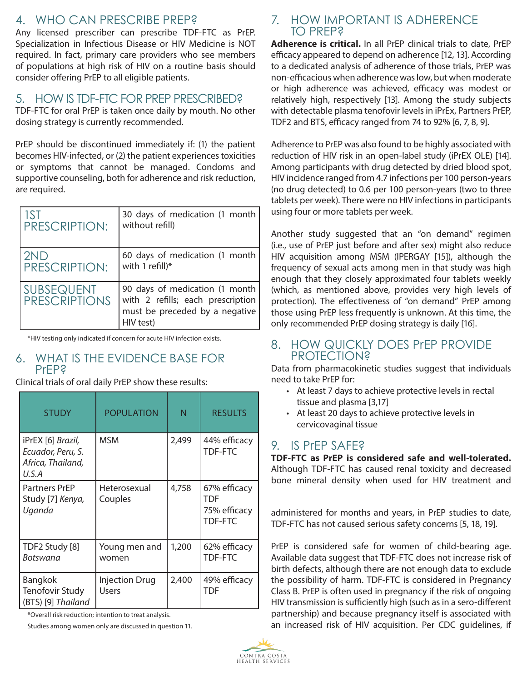# 4. WHO CAN PRESCRIBE PREP?

Any licensed prescriber can prescribe TDF-FTC as PrEP. Specialization in Infectious Disease or HIV Medicine is NOT required. In fact, primary care providers who see members of populations at high risk of HIV on a routine basis should consider offering PrEP to all eligible patients.

# 5. HOW IS TDF-FTC FOR PREP PRESCRIBED?

TDF-FTC for oral PrEP is taken once daily by mouth. No other dosing strategy is currently recommended.

PrEP should be discontinued immediately if: (1) the patient becomes HIV-infected, or (2) the patient experiences toxicities or symptoms that cannot be managed. Condoms and supportive counseling, both for adherence and risk reduction, are required.

| IST                                       | 30 days of medication (1 month)                                                                                    |
|-------------------------------------------|--------------------------------------------------------------------------------------------------------------------|
| PRESCRIPTION:                             | without refill)                                                                                                    |
| 2ND                                       | 60 days of medication (1 month                                                                                     |
| PRESCRIPTION:                             | with 1 refill)*                                                                                                    |
| <b>SUBSEQUENT</b><br><b>PRESCRIPTIONS</b> | 90 days of medication (1 month<br>with 2 refills; each prescription<br>must be preceded by a negative<br>HIV test) |

\*HIV testing only indicated if concern for acute HIV infection exists.

### 6. WHAT IS THE EVIDENCE BASE FOR PrEP?

Clinical trials of oral daily PrEP show these results:

| <b>STUDY</b>                                                         | <b>POPULATION</b>              | N     | <b>RESULTS</b>                                        |
|----------------------------------------------------------------------|--------------------------------|-------|-------------------------------------------------------|
| iPrEX [6] Brazil,<br>Ecuador, Peru, S.<br>Africa, Thailand,<br>U.S.A | <b>MSM</b>                     | 2,499 | 44% efficacy<br><b>TDF-FTC</b>                        |
| <b>Partners PrEP</b><br>Study [7] Kenya,<br>Uganda                   | Heterosexual<br>Couples        | 4,758 | 67% efficacy<br>TDF<br>75% efficacy<br><b>TDF-FTC</b> |
| TDF2 Study [8]<br>Botswana                                           | Young men and<br>women         | 1,200 | 62% efficacy<br><b>TDF-FTC</b>                        |
| Bangkok<br><b>Tenofovir Study</b><br>(BTS) [9] Thailand              | <b>Injection Drug</b><br>Users | 2,400 | 49% efficacy<br>TDF                                   |

\*Overall risk reduction; intention to treat analysis.

Studies among women only are discussed in question 11.

## 7. HOW IMPORTANT IS ADHERENCE TO PREP?

**Adherence is critical.** In all PrEP clinical trials to date, PrEP efficacy appeared to depend on adherence [12, 13]. According to a dedicated analysis of adherence of those trials, PrEP was non-efficacious when adherence was low, but when moderate or high adherence was achieved, efficacy was modest or relatively high, respectively [13]. Among the study subjects with detectable plasma tenofovir levels in iPrEx, Partners PrEP, TDF2 and BTS, efficacy ranged from 74 to 92% [6, 7, 8, 9].

Adherence to PrEP was also found to be highly associated with reduction of HIV risk in an open-label study (iPrEX OLE) [14]. Among participants with drug detected by dried blood spot, HIV incidence ranged from 4.7 infections per 100 person-years (no drug detected) to 0.6 per 100 person-years (two to three tablets per week). There were no HIV infections in participants using four or more tablets per week.

Another study suggested that an "on demand" regimen (i.e., use of PrEP just before and after sex) might also reduce HIV acquisition among MSM (IPERGAY [15]), although the frequency of sexual acts among men in that study was high enough that they closely approximated four tablets weekly (which, as mentioned above, provides very high levels of protection). The effectiveness of "on demand" PrEP among those using PrEP less frequently is unknown. At this time, the only recommended PrEP dosing strategy is daily [16].

## 8. HOW QUICKLY DOES PrEP PROVIDE **PROTECTION?**

Data from pharmacokinetic studies suggest that individuals need to take PrEP for:

- At least 7 days to achieve protective levels in rectal tissue and plasma [3,17]
- At least 20 days to achieve protective levels in cervicovaginal tissue

# 9. IS PrEP SAFE?

**TDF-FTC as PrEP is considered safe and well-tolerated.** Although TDF-FTC has caused renal toxicity and decreased bone mineral density when used for HIV treatment and

administered for months and years, in PrEP studies to date, TDF-FTC has not caused serious safety concerns [5, 18, 19].

PrEP is considered safe for women of child-bearing age. Available data suggest that TDF-FTC does not increase risk of birth defects, although there are not enough data to exclude the possibility of harm. TDF-FTC is considered in Pregnancy Class B. PrEP is often used in pregnancy if the risk of ongoing HIV transmission is sufficiently high (such as in a sero-different partnership) and because pregnancy itself is associated with an increased risk of HIV acquisition. Per CDC guidelines, if

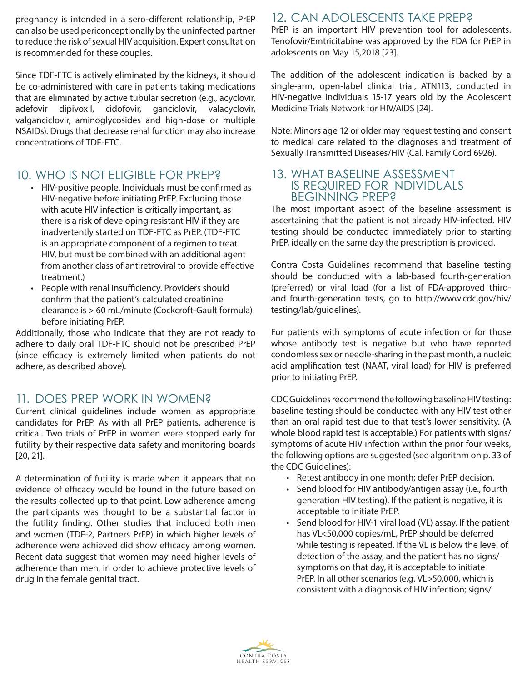pregnancy is intended in a sero-different relationship, PrEP can also be used periconceptionally by the uninfected partner to reduce the risk of sexual HIV acquisition. Expert consultation is recommended for these couples.

Since TDF-FTC is actively eliminated by the kidneys, it should be co-administered with care in patients taking medications that are eliminated by active tubular secretion (e.g., acyclovir, adefovir dipivoxil, cidofovir, ganciclovir, valacyclovir, valganciclovir, aminoglycosides and high-dose or multiple NSAIDs). Drugs that decrease renal function may also increase concentrations of TDF-FTC.

# 10. WHO IS NOT ELIGIBLE FOR PREP?

- HIV-positive people. Individuals must be confirmed as HIV-negative before initiating PrEP. Excluding those with acute HIV infection is critically important, as there is a risk of developing resistant HIV if they are inadvertently started on TDF-FTC as PrEP. (TDF-FTC is an appropriate component of a regimen to treat HIV, but must be combined with an additional agent from another class of antiretroviral to provide effective treatment.)
- People with renal insufficiency. Providers should confirm that the patient's calculated creatinine clearance is > 60 mL/minute (Cockcroft-Gault formula) before initiating PrEP.

Additionally, those who indicate that they are not ready to adhere to daily oral TDF-FTC should not be prescribed PrEP (since efficacy is extremely limited when patients do not adhere, as described above).

# 11. DOES PREP WORK IN WOMEN?

Current clinical guidelines include women as appropriate candidates for PrEP. As with all PrEP patients, adherence is critical. Two trials of PrEP in women were stopped early for futility by their respective data safety and monitoring boards [20, 21].

A determination of futility is made when it appears that no evidence of efficacy would be found in the future based on the results collected up to that point. Low adherence among the participants was thought to be a substantial factor in the futility finding. Other studies that included both men and women (TDF-2, Partners PrEP) in which higher levels of adherence were achieved did show efficacy among women. Recent data suggest that women may need higher levels of adherence than men, in order to achieve protective levels of drug in the female genital tract.

# 12. CAN ADOLESCENTS TAKE PREP?

PrEP is an important HIV prevention tool for adolescents. Tenofovir/Emtricitabine was approved by the FDA for PrEP in adolescents on May 15,2018 [23].

The addition of the adolescent indication is backed by a single-arm, open-label clinical trial, ATN113, conducted in HIV-negative individuals 15-17 years old by the Adolescent Medicine Trials Network for HIV/AIDS [24].

Note: Minors age 12 or older may request testing and consent to medical care related to the diagnoses and treatment of Sexually Transmitted Diseases/HIV (Cal. Family Cord 6926).

#### 13. WHAT BASELINE ASSESSMENT IS REQUIRED FOR INDIVIDUALS BEGINNING PREP?

The most important aspect of the baseline assessment is ascertaining that the patient is not already HIV-infected. HIV testing should be conducted immediately prior to starting PrEP, ideally on the same day the prescription is provided.

Contra Costa Guidelines recommend that baseline testing should be conducted with a lab-based fourth-generation (preferred) or viral load (for a list of FDA-approved thirdand fourth-generation tests, go to http://www.cdc.gov/hiv/ testing/lab/guidelines).

For patients with symptoms of acute infection or for those whose antibody test is negative but who have reported condomless sex or needle-sharing in the past month, a nucleic acid amplification test (NAAT, viral load) for HIV is preferred prior to initiating PrEP.

CDC Guidelines recommend the following baseline HIV testing: baseline testing should be conducted with any HIV test other than an oral rapid test due to that test's lower sensitivity. (A whole blood rapid test is acceptable.) For patients with signs/ symptoms of acute HIV infection within the prior four weeks, the following options are suggested (see algorithm on p. 33 of the CDC Guidelines):

- Retest antibody in one month; defer PrEP decision.
- Send blood for HIV antibody/antigen assay (i.e., fourth generation HIV testing). If the patient is negative, it is acceptable to initiate PrEP.
- Send blood for HIV-1 viral load (VL) assay. If the patient has VL<50,000 copies/mL, PrEP should be deferred while testing is repeated. If the VL is below the level of detection of the assay, and the patient has no signs/ symptoms on that day, it is acceptable to initiate PrEP. In all other scenarios (e.g. VL>50,000, which is consistent with a diagnosis of HIV infection; signs/

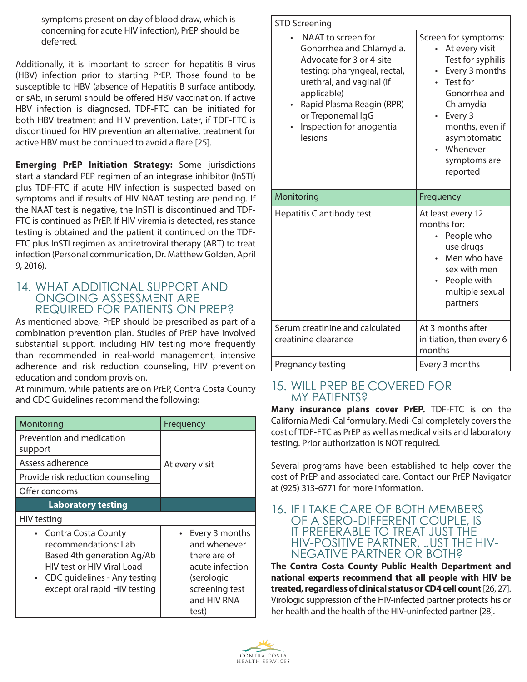symptoms present on day of blood draw, which is concerning for acute HIV infection), PrEP should be deferred.

Additionally, it is important to screen for hepatitis B virus (HBV) infection prior to starting PrEP. Those found to be susceptible to HBV (absence of Hepatitis B surface antibody, or sAb, in serum) should be offered HBV vaccination. If active HBV infection is diagnosed, TDF-FTC can be initiated for both HBV treatment and HIV prevention. Later, if TDF-FTC is discontinued for HIV prevention an alternative, treatment for active HBV must be continued to avoid a flare [25].

**Emerging PrEP Initiation Strategy:** Some jurisdictions start a standard PEP regimen of an integrase inhibitor (InSTI) plus TDF-FTC if acute HIV infection is suspected based on symptoms and if results of HIV NAAT testing are pending. If the NAAT test is negative, the InSTI is discontinued and TDF-FTC is continued as PrEP. If HIV viremia is detected, resistance testing is obtained and the patient it continued on the TDF-FTC plus InSTI regimen as antiretroviral therapy (ART) to treat infection (Personal communication, Dr. Matthew Golden, April 9, 2016).

#### 14. WHAT ADDITIONAL SUPPORT AND ONGOING ASSESSMENT ARE REQUIRED FOR PATIENTS ON PREP?

As mentioned above, PrEP should be prescribed as part of a combination prevention plan. Studies of PrEP have involved substantial support, including HIV testing more frequently than recommended in real-world management, intensive adherence and risk reduction counseling, HIV prevention education and condom provision.

At minimum, while patients are on PrEP, Contra Costa County and CDC Guidelines recommend the following:

| Monitoring                                                                                                                                                                                   | Frequency                                                                                                                 |  |
|----------------------------------------------------------------------------------------------------------------------------------------------------------------------------------------------|---------------------------------------------------------------------------------------------------------------------------|--|
| Prevention and medication<br>support                                                                                                                                                         | At every visit                                                                                                            |  |
| Assess adherence                                                                                                                                                                             |                                                                                                                           |  |
| Provide risk reduction counseling                                                                                                                                                            |                                                                                                                           |  |
| Offer condoms                                                                                                                                                                                |                                                                                                                           |  |
| <b>Laboratory testing</b>                                                                                                                                                                    |                                                                                                                           |  |
| <b>HIV testing</b>                                                                                                                                                                           |                                                                                                                           |  |
| Contra Costa County<br>recommendations: Lab<br>Based 4th generation Ag/Ab<br><b>HIV test or HIV Viral Load</b><br>CDC quidelines - Any testing<br>$\bullet$<br>except oral rapid HIV testing | Every 3 months<br>and whenever<br>there are of<br>acute infection<br>(serologic<br>screening test<br>and HIV RNA<br>test) |  |

| <b>STD Screening</b>                                                                                                                                                                                                                             |                                                                                                                                                                                                                      |  |
|--------------------------------------------------------------------------------------------------------------------------------------------------------------------------------------------------------------------------------------------------|----------------------------------------------------------------------------------------------------------------------------------------------------------------------------------------------------------------------|--|
| NAAT to screen for<br>Gonorrhea and Chlamydia.<br>Advocate for 3 or 4-site<br>testing: pharyngeal, rectal,<br>urethral, and vaginal (if<br>applicable)<br>Rapid Plasma Reagin (RPR)<br>or Treponemal IgG<br>Inspection for anogential<br>lesions | Screen for symptoms:<br>At every visit<br>Test for syphilis<br>• Every 3 months<br>Test for<br>Gonorrhea and<br>Chlamydia<br>Every 3<br>٠<br>months, even if<br>asymptomatic<br>Whenever<br>symptoms are<br>reported |  |
| Monitoring                                                                                                                                                                                                                                       | Frequency                                                                                                                                                                                                            |  |
| Hepatitis C antibody test                                                                                                                                                                                                                        | At least every 12<br>months for:<br>People who<br>use drugs<br>Men who have<br>sex with men<br>• People with<br>multiple sexual<br>partners                                                                          |  |
| Serum creatinine and calculated<br>creatinine clearance                                                                                                                                                                                          | At 3 months after<br>initiation, then every 6<br>months                                                                                                                                                              |  |
|                                                                                                                                                                                                                                                  |                                                                                                                                                                                                                      |  |

### 15. WILL PREP BE COVERED FOR MY PATIENTS?

**Many insurance plans cover PrEP.** TDF-FTC is on the California Medi-Cal formulary. Medi-Cal completely covers the cost of TDF-FTC as PrEP as well as medical visits and laboratory testing. Prior authorization is NOT required.

Several programs have been established to help cover the cost of PrEP and associated care. Contact our PrEP Navigator at (925) 313-6771 for more information.

#### 16. IF I TAKE CARE OF BOTH MEMBERS OF A SERO-DIFFERENT COUPLE, IS IT PREFERABLE TO TREAT JUST THE HIV-POSITIVE PARTNER, JUST THE HIV-NEGATIVE PARTNER OR BOTH?

**The Contra Costa County Public Health Department and national experts recommend that all people with HIV be treated, regardless of clinical status or CD4 cell count** [26, 27]. Virologic suppression of the HIV-infected partner protects his or her health and the health of the HIV-uninfected partner [28].